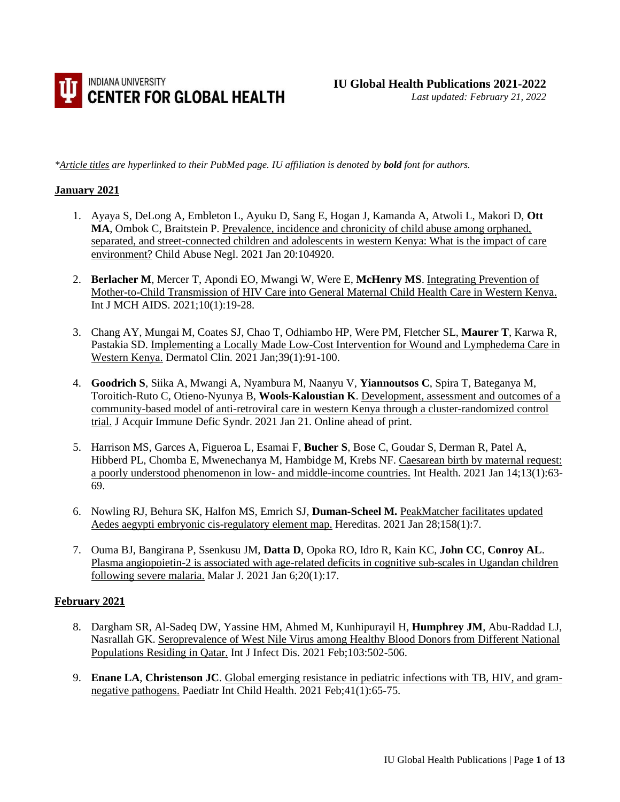

*\*Article titles are hyperlinked to their PubMed page. IU affiliation is denoted by bold font for authors.* 

#### **January 2021**

- 1. Ayaya S, DeLong A, Embleton L, Ayuku D, Sang E, Hogan J, Kamanda A, Atwoli L, Makori D, **Ott MA**, Ombok C, Braitstein P. [Prevalence, incidence and chronicity of child abuse among orphaned,](https://pubmed.ncbi.nlm.nih.gov/33485648/)  separated, and street-connected children and [adolescents in western Kenya: What is the impact of care](https://pubmed.ncbi.nlm.nih.gov/33485648/)  [environment?](https://pubmed.ncbi.nlm.nih.gov/33485648/) Child Abuse Negl. 2021 Jan 20:104920.
- 2. **Berlacher M**, Mercer T, Apondi EO, Mwangi W, Were E, **McHenry MS**[. Integrating Prevention of](https://pubmed.ncbi.nlm.nih.gov/33442489/)  [Mother-to-Child Transmission of HIV Care into General Maternal Child Health Care in Western Kenya.](https://pubmed.ncbi.nlm.nih.gov/33442489/) Int J MCH AIDS. 2021;10(1):19-28.
- 3. [Chang AY, Mungai M, Coates SJ, Chao T, Odhiambo HP, Were PM, Fletcher SL,](https://pubmed.ncbi.nlm.nih.gov/33228865/) **[Maurer T](https://pubmed.ncbi.nlm.nih.gov/33228865/)**[, Karwa R,](https://pubmed.ncbi.nlm.nih.gov/33228865/)  [Pastakia SD. I](https://pubmed.ncbi.nlm.nih.gov/33228865/)mplementing a Locally [Made Low-Cost Intervention for Wound and Lymphedema Care in](https://pubmed.ncbi.nlm.nih.gov/33228865/)  [Western Kenya.](https://pubmed.ncbi.nlm.nih.gov/33228865/) Dermatol Clin. 2021 Jan;39(1):91-100.
- 4. **Goodrich S**, Siika A, Mwangi A, Nyambura M, Naanyu V, **Yiannoutsos C**, Spira T, Bateganya M, Toroitich-Ruto C, Otieno-Nyunya B, **Wools-Kaloustian K**[. Development, assessment and outcomes of a](https://pubmed.ncbi.nlm.nih.gov/33492018/)  [community-based model of anti-retroviral care in western Kenya through a cluster-randomized control](https://pubmed.ncbi.nlm.nih.gov/33492018/)  [trial.](https://pubmed.ncbi.nlm.nih.gov/33492018/) J Acquir Immune Defic Syndr. 2021 Jan 21. Online ahead of print.
- 5. Harrison MS, Garces A, Figueroa L, Esamai F, **Bucher S**, Bose C, Goudar S, Derman R, Patel A, Hibberd PL, Chomba E, Mwenechanya M, Hambidge M, Krebs NF. [Caesarean birth by maternal request:](https://pubmed.ncbi.nlm.nih.gov/32478383/)  [a poorly understood phenomenon in low-](https://pubmed.ncbi.nlm.nih.gov/32478383/) and middle-income countries. Int Health. 2021 Jan 14;13(1):63- 69.
- 6. Nowling RJ, Behura SK, Halfon MS, Emrich SJ, **Duman-Scheel M.** [PeakMatcher facilitates updated](https://pubmed.ncbi.nlm.nih.gov/33509290/)  [Aedes aegypti embryonic cis-regulatory element map.](https://pubmed.ncbi.nlm.nih.gov/33509290/) Hereditas. 2021 Jan 28;158(1):7.
- 7. Ouma BJ, Bangirana P, Ssenkusu JM, **Datta D**, Opoka RO, Idro R, Kain KC, **John CC**, **Conroy AL**. [Plasma angiopoietin-2 is associated with age-related deficits in cognitive sub-scales in Ugandan children](https://pubmed.ncbi.nlm.nih.gov/33407493/)  [following severe malaria.](https://pubmed.ncbi.nlm.nih.gov/33407493/) Malar J. 2021 Jan 6;20(1):17.

#### **February 2021**

- 8. Dargham SR, Al-Sadeq DW, Yassine HM, Ahmed M, Kunhipurayil H, **Humphrey JM**, Abu-Raddad LJ, Nasrallah GK. [Seroprevalence of West Nile Virus among Healthy Blood Donors from Different National](https://pubmed.ncbi.nlm.nih.gov/33248245/)  [Populations Residing in Qatar.](https://pubmed.ncbi.nlm.nih.gov/33248245/) Int J Infect Dis. 2021 Feb;103:502-506.
- 9. **Enane LA**, **Christenson JC**. [Global emerging resistance in pediatric infections with TB, HIV, and gram](https://pubmed.ncbi.nlm.nih.gov/33305992/)[negative pathogens.](https://pubmed.ncbi.nlm.nih.gov/33305992/) Paediatr Int Child Health. 2021 Feb;41(1):65-75.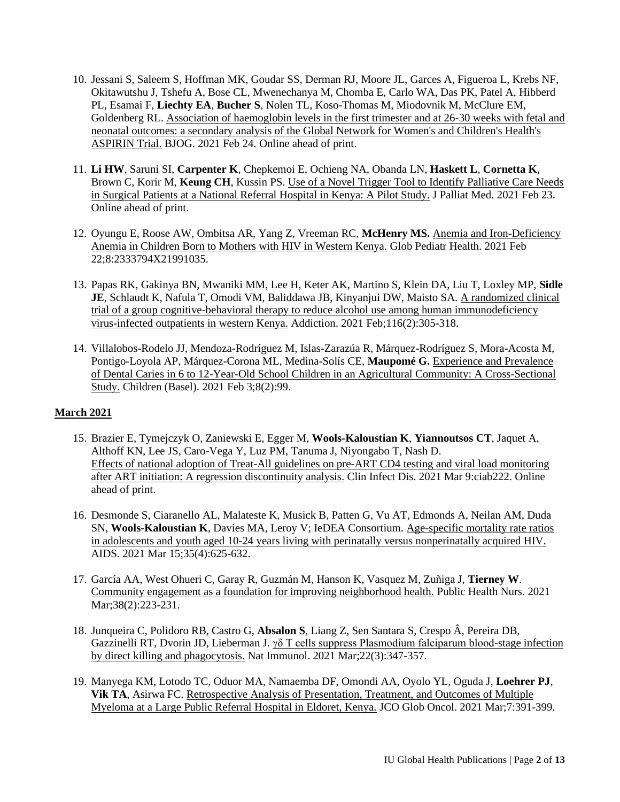- 10. Jessani S, Saleem S, Hoffman MK, Goudar SS, Derman RJ, Moore JL, Garces A, Figueroa L, Krebs NF, Okitawutshu J, Tshefu A, Bose CL, Mwenechanya M, Chomba E, Carlo WA, Das PK, Patel A, Hibberd PL, Esamai F, **Liechty EA**, **Bucher S**, Nolen TL, Koso-Thomas M, Miodovnik M, McClure EM, Goldenberg RL. [Association of haemoglobin levels in the first trimester and at 26-30](https://pubmed.ncbi.nlm.nih.gov/33629490/) weeks with fetal and [neonatal outcomes: a secondary analysis of the Global Network for Women's and Children's Health's](https://pubmed.ncbi.nlm.nih.gov/33629490/)  [ASPIRIN Trial.](https://pubmed.ncbi.nlm.nih.gov/33629490/) BJOG. 2021 Feb 24. Online ahead of print.
- 11. **Li HW**, Saruni SI, **Carpenter K**, Chepkemoi E, Ochieng NA, Obanda LN, **Haskett L**, **Cornetta K**, Brown C, Korir M, **Keung CH**, Kussin PS. [Use of a Novel Trigger Tool to Identify Palliative Care Needs](https://pubmed.ncbi.nlm.nih.gov/33625266/)  [in Surgical Patients at a National Referral Hospital in Kenya: A Pilot Study.](https://pubmed.ncbi.nlm.nih.gov/33625266/) J Palliat Med. 2021 Feb 23. Online ahead of print.
- 12. Oyungu E, Roose AW, Ombitsa AR, Yang Z, Vreeman RC, **McHenry MS.** [Anemia and Iron-Deficiency](https://pubmed.ncbi.nlm.nih.gov/33748341/)  [Anemia in Children Born to Mothers with HIV in Western Kenya.](https://pubmed.ncbi.nlm.nih.gov/33748341/) Glob Pediatr Health. 2021 Feb 22;8:2333794X21991035.
- 13. Papas RK, Gakinya BN, Mwaniki MM, Lee H, Keter AK, Martino S, Klein DA, Liu T, Loxley MP, **Sidle JE**, Schlaudt K, Nafula T, Omodi VM, Baliddawa JB, Kinyanjui DW, Maisto SA. [A randomized clinical](https://pubmed.ncbi.nlm.nih.gov/32422685/)  [trial of a group cognitive-behavioral therapy to reduce alcohol use among human immunodeficiency](https://pubmed.ncbi.nlm.nih.gov/32422685/)  [virus-infected outpatients in western Kenya.](https://pubmed.ncbi.nlm.nih.gov/32422685/) Addiction. 2021 Feb;116(2):305-318.
- 14. Villalobos-Rodelo JJ, Mendoza-Rodríguez M, Islas-Zarazúa R, Márquez-Rodríguez S, Mora-Acosta M, Pontigo-Loyola AP, Márquez-Corona ML, Medina-Solís CE, **Maupomé G.** [Experience and Prevalence](https://pubmed.ncbi.nlm.nih.gov/33546186/)  [of Dental Caries in 6 to 12-Year-Old School Children in an Agricultural Community: A Cross-Sectional](https://pubmed.ncbi.nlm.nih.gov/33546186/)  [Study.](https://pubmed.ncbi.nlm.nih.gov/33546186/) Children (Basel). 2021 Feb 3;8(2):99.

# **March 2021**

- 15. Brazier E, Tymejczyk O, Zaniewski E, Egger M, **Wools-Kaloustian K**, **Yiannoutsos CT**, Jaquet A, Althoff KN, Lee JS, Caro-Vega Y, Luz PM, Tanuma J, Niyongabo T, Nash D[.](https://pubmed.ncbi.nlm.nih.gov/33693517/)  [Effects of national adoption of Treat-All guidelines on pre-ART CD4 testing and viral load monitoring](https://pubmed.ncbi.nlm.nih.gov/33693517/)  [after ART initiation: A regression discontinuity analysis.](https://pubmed.ncbi.nlm.nih.gov/33693517/) Clin Infect Dis. 2021 Mar 9:ciab222. Online ahead of print.
- 16. Desmonde S, Ciaranello AL, Malateste K, Musick B, Patten G, Vu AT, Edmonds A, Neilan AM, Duda SN, **Wools-Kaloustian K**, Davies MA, Leroy V; IeDEA Consortium. [Age-specific mortality rate ratios](https://pubmed.ncbi.nlm.nih.gov/33252479/)  [in adolescents and youth aged 10-24 years living with perinatally versus nonperinatally acquired HIV.](https://pubmed.ncbi.nlm.nih.gov/33252479/) AIDS. 2021 Mar 15;35(4):625-632.
- 17. García AA, West Ohueri C, Garay R, Guzmán M, Hanson K, Vasquez M, Zuñiga J, **Tierney W**. [Community engagement as a foundation for improving neighborhood health.](https://pubmed.ncbi.nlm.nih.gov/33522011/) Public Health Nurs. 2021 Mar; 38(2): 223-231.
- 18. Junqueira C, Polidoro RB, Castro G, **Absalon S**, Liang Z, Sen Santara S, Crespo Â, Pereira DB, Gazzinelli RT, Dvorin JD, Lieberman J. [γδ T cells suppress Plasmodium falciparum blood-stage infection](https://pubmed.ncbi.nlm.nih.gov/33432229/)  [by direct killing and phagocytosis.](https://pubmed.ncbi.nlm.nih.gov/33432229/) Nat Immunol. 2021 Mar;22(3):347-357.
- 19. Manyega KM, Lotodo TC, Oduor MA, Namaemba DF, Omondi AA, Oyolo YL, Oguda J, **Loehrer PJ**, **Vik TA**, Asirwa FC. Retrospective Analysis of [Presentation, Treatment, and Outcomes of Multiple](https://pubmed.ncbi.nlm.nih.gov/33729826/)  [Myeloma at a Large Public Referral Hospital in Eldoret, Kenya.](https://pubmed.ncbi.nlm.nih.gov/33729826/) JCO Glob Oncol. 2021 Mar;7:391-399.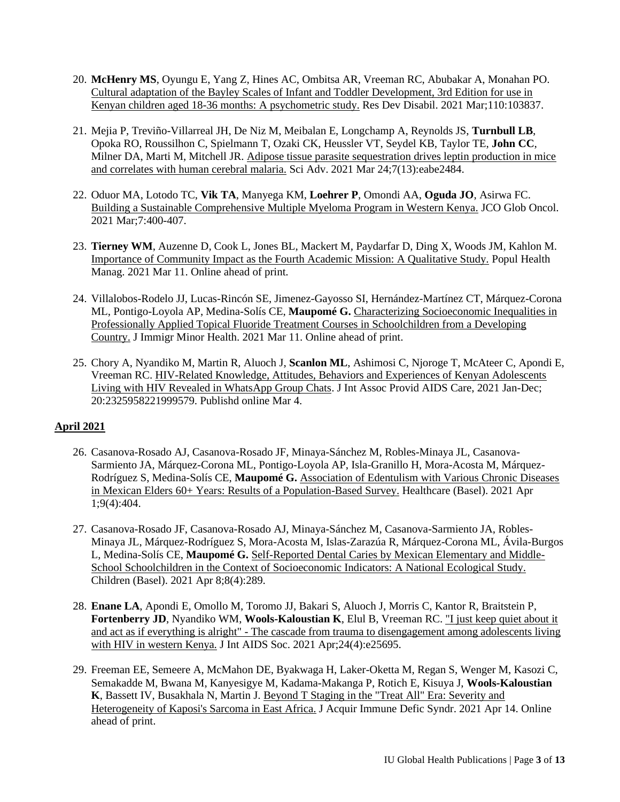- 20. **McHenry MS**, Oyungu E, Yang Z, Hines AC, Ombitsa AR, Vreeman RC, Abubakar A, Monahan PO. [Cultural adaptation of the Bayley Scales of Infant and Toddler Development, 3rd Edition for use in](https://pubmed.ncbi.nlm.nih.gov/33453695/)  [Kenyan children aged 18-36 months: A psychometric study.](https://pubmed.ncbi.nlm.nih.gov/33453695/) Res Dev Disabil. 2021 Mar;110:103837.
- 21. Mejia P, Treviño-Villarreal JH, De Niz M, Meibalan E, Longchamp A, Reynolds JS, **Turnbull LB**, Opoka RO, Roussilhon C, Spielmann T, Ozaki CK, Heussler VT, Seydel KB, Taylor TE, **John CC**, Milner DA, Marti M, Mitchell JR[. Adipose tissue parasite sequestration drives leptin production in mice](https://pubmed.ncbi.nlm.nih.gov/33762334/)  [and correlates with human cerebral malaria.](https://pubmed.ncbi.nlm.nih.gov/33762334/) Sci Adv. 2021 Mar 24;7(13):eabe2484.
- 22. Oduor MA, Lotodo TC, **Vik TA**, Manyega KM, **Loehrer P**, Omondi AA, **Oguda JO**, Asirwa FC. [Building a Sustainable Comprehensive Multiple Myeloma Program in Western Kenya.](https://pubmed.ncbi.nlm.nih.gov/33739854/) JCO Glob Oncol. 2021 Mar;7:400-407.
- 23. **Tierney WM**, Auzenne D, Cook L, Jones BL, Mackert M, Paydarfar D, Ding X, Woods JM, Kahlon M. [Importance of Community Impact as the Fourth Academic Mission: A Qualitative Study.](https://pubmed.ncbi.nlm.nih.gov/33709790/) Popul Health Manag. 2021 Mar 11. Online ahead of print.
- 24. [Villalobos-Rodelo JJ, Lucas-Rincón SE, Jimenez-Gayosso SI, Hernández-Martínez CT, Márquez-Corona](https://pubmed.ncbi.nlm.nih.gov/33704655/)  [ML, Pontigo-Loyola AP, Medina-Solís CE,](https://pubmed.ncbi.nlm.nih.gov/33704655/) **[Maupomé G.](https://pubmed.ncbi.nlm.nih.gov/33704655/)** [Characterizing Socioeconomic Inequalities in](https://pubmed.ncbi.nlm.nih.gov/33704655/)  [Professionally Applied Topical Fluoride Treatment Courses in Schoolchildren from a Developing](https://pubmed.ncbi.nlm.nih.gov/33704655/)  [Country.](https://pubmed.ncbi.nlm.nih.gov/33704655/) J Immigr Minor Health. 2021 Mar 11. Online ahead of print.
- 25. Chory A, Nyandiko M, Martin R, Aluoch J, **Scanlon ML**, Ashimosi C, Njoroge T, McAteer C, Apondi E, Vreeman RC. [HIV-Related Knowledge, Attitudes, Behaviors and Experiences of Kenyan Adolescents](https://www.ncbi.nlm.nih.gov/pmc/articles/PMC7940722/)  [Living with HIV Revealed in WhatsApp Group Chats.](https://www.ncbi.nlm.nih.gov/pmc/articles/PMC7940722/) J Int Assoc Provid AIDS Care, 2021 Jan-Dec; 20:2325958221999579. Publishd online Mar 4.

# **April 2021**

- 26. Casanova-Rosado AJ, Casanova-Rosado JF, Minaya-Sánchez M, Robles-Minaya JL, Casanova-Sarmiento JA, Márquez-Corona ML, Pontigo-Loyola AP, Isla-Granillo H, Mora-Acosta M, Márquez-Rodríguez S, Medina-Solís CE, **Maupomé G.** [Association of Edentulism with Various Chronic Diseases](https://pubmed.ncbi.nlm.nih.gov/33916223/)  [in Mexican Elders 60+ Years: Results of a Population-Based Survey.](https://pubmed.ncbi.nlm.nih.gov/33916223/) Healthcare (Basel). 2021 Apr 1;9(4):404.
- 27. Casanova-Rosado JF, Casanova-Rosado AJ, Minaya-Sánchez M, Casanova-Sarmiento JA, Robles-Minaya JL, Márquez-Rodríguez S, Mora-Acosta M, Islas-Zarazúa R, Márquez-Corona ML, Ávila-Burgos L, Medina-Solís CE, **Maupomé G.** [Self-Reported Dental Caries by Mexican Elementary and Middle-](https://pubmed.ncbi.nlm.nih.gov/33917854/)[School Schoolchildren in the Context of Socioeconomic Indicators: A National Ecological Study.](https://pubmed.ncbi.nlm.nih.gov/33917854/) Children (Basel). 2021 Apr 8;8(4):289.
- 28. **Enane LA**, Apondi E, Omollo M, Toromo JJ, Bakari S, Aluoch J, Morris C, Kantor R, Braitstein P, **Fortenberry JD**, Nyandiko WM, **Wools-Kaloustian K**, Elul B, Vreeman RC. ["I just keep quiet about it](https://pubmed.ncbi.nlm.nih.gov/33838007/)  and act as if everything is alright" - [The cascade from trauma to disengagement among adolescents living](https://pubmed.ncbi.nlm.nih.gov/33838007/)  [with HIV in western Kenya.](https://pubmed.ncbi.nlm.nih.gov/33838007/) J Int AIDS Soc. 2021 Apr;24(4):e25695.
- 29. Freeman EE, Semeere A, McMahon DE, Byakwaga H, Laker-Oketta M, Regan S, Wenger M, Kasozi C, Semakadde M, Bwana M, Kanyesigye M, Kadama-Makanga P, Rotich E, Kisuya J, **Wools-Kaloustian K**, Bassett IV, Busakhala N, Martin J. [Beyond T Staging in the "Treat All" Era: Severity and](https://pubmed.ncbi.nlm.nih.gov/33871409/)  [Heterogeneity of Kaposi's Sarcoma in East Africa.](https://pubmed.ncbi.nlm.nih.gov/33871409/) J Acquir Immune Defic Syndr. 2021 Apr 14. Online ahead of print.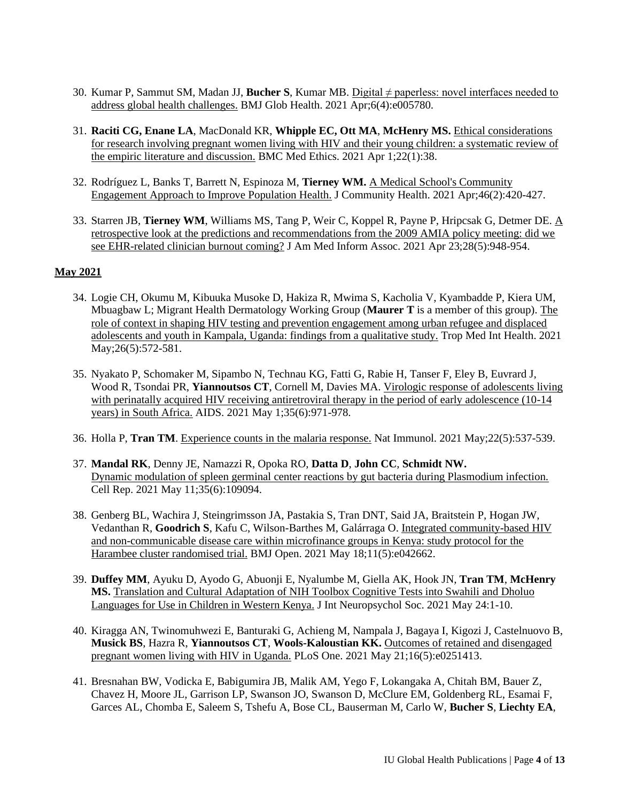- 30. Kumar P, Sammut SM, Madan JJ, **Bucher S**, Kumar MB. [Digital ≠ paperless: novel interfaces needed to](https://pubmed.ncbi.nlm.nih.gov/33879473/)  [address global health challenges.](https://pubmed.ncbi.nlm.nih.gov/33879473/) BMJ Glob Health. 2021 Apr;6(4):e005780.
- 31. **Raciti CG, Enane LA**, MacDonald KR, **Whipple EC, Ott MA**, **McHenry MS.** [Ethical considerations](https://pubmed.ncbi.nlm.nih.gov/33794891/)  [for research involving pregnant women living with HIV](https://pubmed.ncbi.nlm.nih.gov/33794891/) and their young children: a systematic review of [the empiric literature and discussion.](https://pubmed.ncbi.nlm.nih.gov/33794891/) BMC Med Ethics. 2021 Apr 1;22(1):38.
- 32. Rodríguez L, Banks T, Barrett N, Espinoza M, **Tierney WM.** [A Medical School's Community](https://pubmed.ncbi.nlm.nih.gov/33606137/)  [Engagement Approach to Improve Population Health.](https://pubmed.ncbi.nlm.nih.gov/33606137/) J Community Health. 2021 Apr;46(2):420-427.
- 33. Starren JB, **Tierney WM**, Williams MS, Tang P, Weir C, Koppel R, Payne P, Hripcsak G, Detmer DE. [A](https://pubmed.ncbi.nlm.nih.gov/33585936/)  [retrospective look at the predictions and recommendations from the 2009 AMIA policy meeting: did we](https://pubmed.ncbi.nlm.nih.gov/33585936/)  [see EHR-related clinician burnout coming?](https://pubmed.ncbi.nlm.nih.gov/33585936/) J Am Med Inform Assoc. 2021 Apr 23;28(5):948-954.

### **May 2021**

- 34. Logie CH, Okumu M, Kibuuka Musoke D, Hakiza R, Mwima S, Kacholia V, Kyambadde P, Kiera UM, Mbuagbaw L; Migrant Health Dermatology Working Group (**Maurer T** is a member of this group). [The](https://pubmed.ncbi.nlm.nih.gov/33560587/)  [role of context in shaping HIV testing and prevention engagement among urban refugee and displaced](https://pubmed.ncbi.nlm.nih.gov/33560587/)  [adolescents and youth in Kampala, Uganda: findings from a qualitative study.](https://pubmed.ncbi.nlm.nih.gov/33560587/) Trop Med Int Health. 2021 May; 26(5): 572-581.
- 35. Nyakato P, Schomaker M, Sipambo N, Technau KG, Fatti G, Rabie H, Tanser F, Eley B, Euvrard J, Wood R, Tsondai PR, **Yiannoutsos CT**, Cornell M, Davies MA. [Virologic response of adolescents living](https://pubmed.ncbi.nlm.nih.gov/33492836/)  with perinatally acquired HIV receiving antiretroviral therapy in the period of early adolescence (10-14) [years\) in South Africa.](https://pubmed.ncbi.nlm.nih.gov/33492836/) AIDS. 2021 May 1;35(6):971-978.
- 36. Holla P, **Tran TM**[. Experience counts in the malaria response.](https://pubmed.ncbi.nlm.nih.gov/33888897/) Nat Immunol. 2021 May;22(5):537-539.
- 37. **Mandal RK**, Denny JE, Namazzi R, Opoka RO, **Datta D**, **John CC**, **Schmidt NW.**  [Dynamic modulation of spleen germinal center reactions by gut bacteria during Plasmodium infection.](https://pubmed.ncbi.nlm.nih.gov/33979614/) Cell Rep. 2021 May 11;35(6):109094.
- 38. Genberg BL, Wachira J, Steingrimsson JA, Pastakia S, Tran DNT, Said JA, Braitstein P, Hogan JW, Vedanthan R, **Goodrich S**, Kafu C, Wilson-Barthes M, Galárraga O. [Integrated community-based HIV](https://pubmed.ncbi.nlm.nih.gov/34006540/)  [and non-communicable disease care within microfinance groups in Kenya: study protocol for](https://pubmed.ncbi.nlm.nih.gov/34006540/) the [Harambee cluster randomised trial.](https://pubmed.ncbi.nlm.nih.gov/34006540/) BMJ Open. 2021 May 18;11(5):e042662.
- 39. **Duffey MM**, Ayuku D, Ayodo G, Abuonji E, Nyalumbe M, Giella AK, Hook JN, **Tran TM**, **McHenry MS.** [Translation and Cultural Adaptation of NIH Toolbox Cognitive Tests into Swahili and Dholuo](https://pubmed.ncbi.nlm.nih.gov/34027848/)  [Languages for Use in Children in Western Kenya.](https://pubmed.ncbi.nlm.nih.gov/34027848/) J Int Neuropsychol Soc. 2021 May 24:1-10.
- 40. Kiragga AN, Twinomuhwezi E, Banturaki G, Achieng M, Nampala J, Bagaya I, Kigozi J, Castelnuovo B, **Musick BS**, Hazra R, **Yiannoutsos CT**, **Wools-Kaloustian KK.** [Outcomes of retained and disengaged](https://pubmed.ncbi.nlm.nih.gov/34019568/)  [pregnant women living with HIV in Uganda.](https://pubmed.ncbi.nlm.nih.gov/34019568/) PLoS One. 2021 May 21;16(5):e0251413.
- 41. [Bresnahan BW, Vodicka E, Babigumira JB, Malik AM, Yego F, Lokangaka A, Chitah BM, Bauer Z,](https://pubmed.ncbi.nlm.nih.gov/34016085/)  [Chavez H, Moore JL, Garrison LP, Swanson JO, Swanson D, McClure EM, Goldenberg RL, Esamai F,](https://pubmed.ncbi.nlm.nih.gov/34016085/)  [Garces AL, Chomba E, Saleem S, Tshefu A, Bose CL, Bauserman M, Carlo W,](https://pubmed.ncbi.nlm.nih.gov/34016085/) **Bucher S**, **Liechty EA**,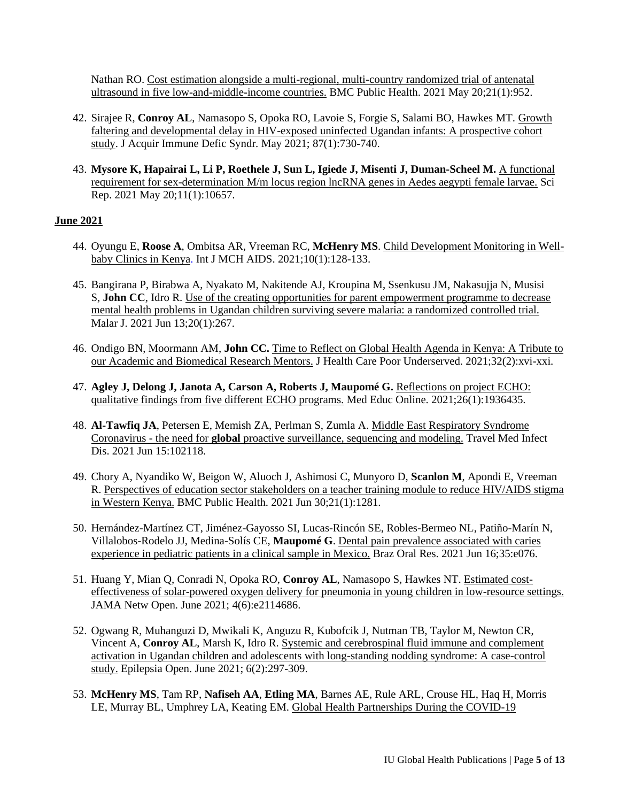[Nathan RO. Cost estimation alongside a multi-regional, multi-country randomized trial of antenatal](https://pubmed.ncbi.nlm.nih.gov/34016085/)  [ultrasound in five low-and-middle-income countries.](https://pubmed.ncbi.nlm.nih.gov/34016085/) BMC Public Health. 2021 May 20;21(1):952.

- 42. Sirajee R, **Conroy AL**, Namasopo S, Opoka RO, Lavoie S, Forgie S, Salami BO, Hawkes MT[. Growth](https://pubmed.ncbi.nlm.nih.gov/33819206/)  [faltering and developmental delay in HIV-exposed uninfected Ugandan infants: A prospective cohort](https://pubmed.ncbi.nlm.nih.gov/33819206/)  [study.](https://pubmed.ncbi.nlm.nih.gov/33819206/) J Acquir Immune Defic Syndr*.* May 2021; 87(1):730-740.
- 43. **Mysore K, Hapairai L, Li P, Roethele J, Sun L, Igiede J, Misenti J, Duman-Scheel M.** [A functional](https://pubmed.ncbi.nlm.nih.gov/34017069/)  [requirement for sex-determination M/m locus region lncRNA genes in Aedes aegypti female larvae.](https://pubmed.ncbi.nlm.nih.gov/34017069/) Sci Rep. 2021 May 20;11(1):10657.

### **June 2021**

- 44. Oyungu E, **Roose A**, Ombitsa AR, Vreeman RC, **McHenry MS**[. Child Development Monitoring in Well](https://pubmed.ncbi.nlm.nih.gov/34026324/)[baby Clinics in Kenya.](https://pubmed.ncbi.nlm.nih.gov/34026324/) Int J MCH AIDS. 2021;10(1):128-133.
- 45. Bangirana P, Birabwa A, Nyakato M, Nakitende AJ, Kroupina M, Ssenkusu JM, Nakasujja N, Musisi S, **John CC**, Idro R. [Use of the creating opportunities for parent empowerment programme to decrease](https://pubmed.ncbi.nlm.nih.gov/34120616/)  [mental health problems in Ugandan children surviving severe malaria: a randomized controlled trial.](https://pubmed.ncbi.nlm.nih.gov/34120616/) Malar J. 2021 Jun 13;20(1):267.
- 46. Ondigo BN, Moormann AM, **John CC.** [Time to Reflect on Global Health Agenda in Kenya: A Tribute to](https://pubmed.ncbi.nlm.nih.gov/34120957/)  [our Academic and Biomedical Research Mentors.](https://pubmed.ncbi.nlm.nih.gov/34120957/) J Health Care Poor Underserved. 2021;32(2):xvi-xxi.
- 47. **Agley J, Delong J, Janota A, Carson A, Roberts J, Maupomé G.** [Reflections on project ECHO:](https://pubmed.ncbi.nlm.nih.gov/34076567/)  [qualitative findings from five different ECHO programs.](https://pubmed.ncbi.nlm.nih.gov/34076567/) Med Educ Online. 2021;26(1):1936435.
- 48. **Al-Tawfiq JA**, Petersen E, Memish ZA, Perlman S, Zumla A. [Middle East Respiratory Syndrome](https://pubmed.ncbi.nlm.nih.gov/34144180/)  Coronavirus - the need for **global** [proactive surveillance, sequencing and modeling.](https://pubmed.ncbi.nlm.nih.gov/34144180/) Travel Med Infect Dis. 2021 Jun 15:102118.
- 49. Chory A, Nyandiko W, Beigon W, Aluoch J, Ashimosi C, Munyoro D, **Scanlon M**, Apondi E, Vreeman R. [Perspectives of education sector stakeholders on a teacher training module to reduce HIV/AIDS stigma](https://pubmed.ncbi.nlm.nih.gov/34193095/)  [in Western Kenya.](https://pubmed.ncbi.nlm.nih.gov/34193095/) BMC Public Health. 2021 Jun 30;21(1):1281.
- 50. Hernández-Martínez CT, Jiménez-Gayosso SI, Lucas-Rincón SE, Robles-Bermeo NL, Patiño-Marín N, Villalobos-Rodelo JJ, Medina-Solís CE, **Maupomé G**. [Dental pain prevalence associated with caries](https://pubmed.ncbi.nlm.nih.gov/34161413/)  [experience in pediatric patients in a clinical sample in Mexico.](https://pubmed.ncbi.nlm.nih.gov/34161413/) Braz Oral Res. 2021 Jun 16;35:e076.
- 51. Huang Y, Mian Q, Conradi N, Opoka RO, **Conroy AL**, Namasopo S, Hawkes NT. [Estimated cost](https://pubmed.ncbi.nlm.nih.gov/34165579/)[effectiveness of solar-powered oxygen delivery for pneumonia in young children in low-resource settings.](https://pubmed.ncbi.nlm.nih.gov/34165579/) JAMA Netw Open. June 2021; 4(6):e2114686.
- 52. Ogwang R, Muhanguzi D, Mwikali K, Anguzu R, Kubofcik J, Nutman TB, Taylor M, Newton CR, Vincent A, **Conroy AL**, Marsh K, Idro R. [Systemic and cerebrospinal fluid immune and complement](https://pubmed.ncbi.nlm.nih.gov/34033255/)  [activation in Ugandan children and adolescents with long-standing nodding syndrome: A case-control](https://pubmed.ncbi.nlm.nih.gov/34033255/)  [study.](https://pubmed.ncbi.nlm.nih.gov/34033255/) Epilepsia Open. June 2021; 6(2):297-309.
- 53. **McHenry MS**, Tam RP, **Nafiseh AA**, **Etling MA**, Barnes AE, Rule ARL, Crouse HL, Haq H, Morris LE, Murray BL, Umphrey LA, Keating EM. [Global Health Partnerships During the COVID-19](https://pubmed.ncbi.nlm.nih.gov/34181576/)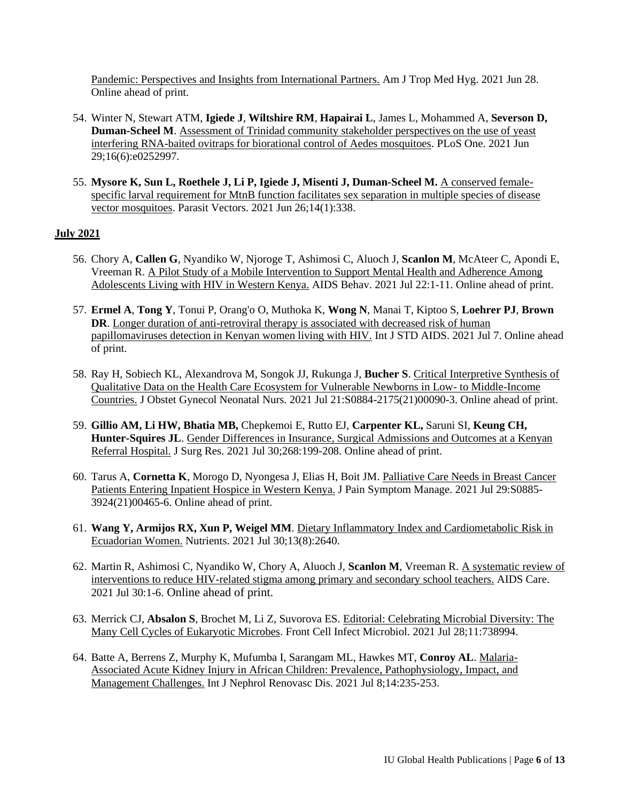[Pandemic: Perspectives and Insights from International Partners.](https://pubmed.ncbi.nlm.nih.gov/34181576/) Am J Trop Med Hyg. 2021 Jun 28. Online ahead of print.

- 54. Winter N, Stewart ATM, **Igiede J**, **Wiltshire RM**, **Hapairai L**, James L, Mohammed A, **Severson D, Duman-Scheel M**. [Assessment of Trinidad community stakeholder perspectives on the use of yeast](https://pubmed.ncbi.nlm.nih.gov/34185784/)  [interfering RNA-baited ovitraps for biorational control of Aedes mosquitoes.](https://pubmed.ncbi.nlm.nih.gov/34185784/) PLoS One. 2021 Jun 29;16(6):e0252997.
- 55. **Mysore K, Sun L, Roethele J, Li P, Igiede J, Misenti J, Duman-Scheel M.** [A conserved female](https://pubmed.ncbi.nlm.nih.gov/34174948/)[specific larval requirement for MtnB function facilitates sex separation in multiple species of disease](https://pubmed.ncbi.nlm.nih.gov/34174948/)  [vector mosquitoes.](https://pubmed.ncbi.nlm.nih.gov/34174948/) Parasit Vectors. 2021 Jun 26;14(1):338.

## **July 2021**

- 56. Chory A, **Callen G**, Nyandiko W, Njoroge T, Ashimosi C, Aluoch J, **Scanlon M**, McAteer C, Apondi E, Vreeman R. [A Pilot Study of a Mobile Intervention to Support Mental Health and Adherence Among](https://pubmed.ncbi.nlm.nih.gov/34292429/)  [Adolescents Living with HIV in Western Kenya.](https://pubmed.ncbi.nlm.nih.gov/34292429/) AIDS Behav. 2021 Jul 22:1-11. Online ahead of print.
- 57. **Ermel A**, **Tong Y**, Tonui P, Orang'o O, Muthoka K, **Wong N**, Manai T, Kiptoo S, **Loehrer PJ**, **Brown DR.** Longer duration of anti-retroviral therapy is associated with decreased risk of human [papillomaviruses detection in Kenyan women living with HIV.](https://pubmed.ncbi.nlm.nih.gov/34233531/) Int J STD AIDS. 2021 Jul 7. Online ahead of print.
- 58. Ray H, Sobiech KL, Alexandrova M, Songok JJ, Rukunga J, **Bucher S**. [Critical Interpretive Synthesis of](https://pubmed.ncbi.nlm.nih.gov/34302768/)  [Qualitative Data on the Health Care Ecosystem for Vulnerable Newborns in Low-](https://pubmed.ncbi.nlm.nih.gov/34302768/) to Middle-Income [Countries.](https://pubmed.ncbi.nlm.nih.gov/34302768/) J Obstet Gynecol Neonatal Nurs. 2021 Jul 21:S0884-2175(21)00090-3. Online ahead of print.
- 59. **Gillio AM, Li HW, Bhatia MB,** Chepkemoi E, Rutto EJ, **Carpenter KL,** Saruni SI, **Keung CH, Hunter-Squires JL**. [Gender Differences in Insurance, Surgical Admissions and Outcomes at a Kenyan](https://pubmed.ncbi.nlm.nih.gov/34340011/)  [Referral Hospital.](https://pubmed.ncbi.nlm.nih.gov/34340011/) J Surg Res. 2021 Jul 30;268:199-208. Online ahead of print.
- 60. Tarus A, **Cornetta K**, Morogo D, Nyongesa J, Elias H, Boit JM. [Palliative Care Needs in Breast Cancer](https://pubmed.ncbi.nlm.nih.gov/34333098/)  [Patients Entering Inpatient Hospice in Western](https://pubmed.ncbi.nlm.nih.gov/34333098/) Kenya. J Pain Symptom Manage. 2021 Jul 29:S0885- 3924(21)00465-6. Online ahead of print.
- 61. **Wang Y, Armijos RX, Xun P, Weigel MM**. [Dietary Inflammatory Index and Cardiometabolic Risk in](https://pubmed.ncbi.nlm.nih.gov/34444800/)  [Ecuadorian Women.](https://pubmed.ncbi.nlm.nih.gov/34444800/) Nutrients. 2021 Jul 30;13(8):2640.
- 62. Martin R, Ashimosi C, Nyandiko W, Chory A, Aluoch J, **Scanlon M**, Vreeman R. A [systematic](https://pubmed.ncbi.nlm.nih.gov/34330183/) review of [interventions to reduce HIV-related stigma among primary and secondary school teachers.](https://pubmed.ncbi.nlm.nih.gov/34330183/) AIDS Care. 2021 Jul 30:1-6. Online ahead of print.
- 63. Merrick CJ, **Absalon S**, Brochet M, Li Z, Suvorova ES. [Editorial: Celebrating Microbial Diversity: The](https://www.frontiersin.org/articles/10.3389/fcimb.2021.738994/full)  [Many Cell Cycles of Eukaryotic Microbes.](https://www.frontiersin.org/articles/10.3389/fcimb.2021.738994/full) Front Cell Infect Microbiol. 2021 Jul 28;11:738994.
- 64. Batte A, Berrens Z, Murphy K, Mufumba I, Sarangam ML, Hawkes MT, **Conroy AL**. [Malaria-](https://pubmed.ncbi.nlm.nih.gov/34267538/)[Associated Acute Kidney Injury in African Children: Prevalence, Pathophysiology, Impact, and](https://pubmed.ncbi.nlm.nih.gov/34267538/)  [Management Challenges.](https://pubmed.ncbi.nlm.nih.gov/34267538/) Int J Nephrol Renovasc Dis. 2021 Jul 8;14:235-253.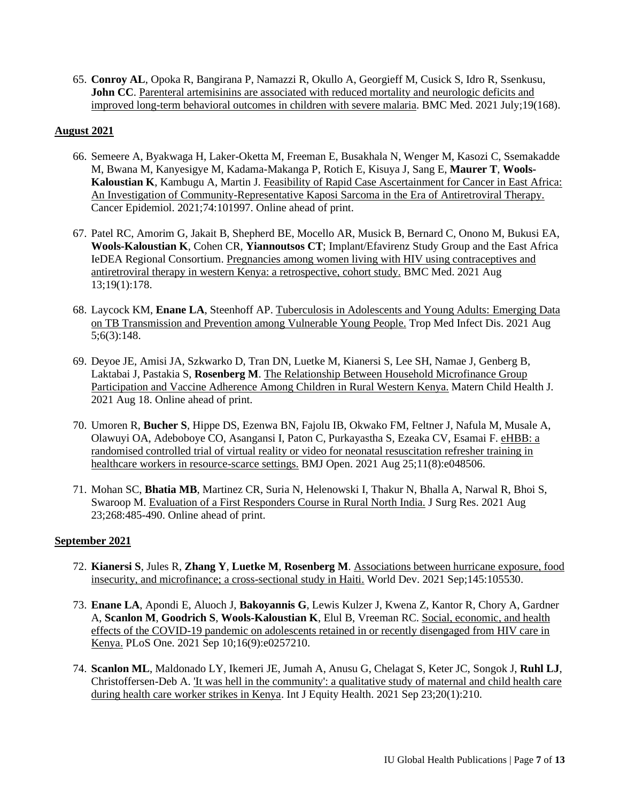65. **Conroy AL**, Opoka R, Bangirana P, Namazzi R, Okullo A, Georgieff M, Cusick S, Idro R, Ssenkusu, John CC. Parenteral artemisinins are associated with reduced mortality and neurologic deficits and [improved long-term behavioral outcomes in children with severe malaria.](https://link.springer.com/article/10.1186/s12916-021-02033-1) BMC Med. 2021 July;19(168).

## **August 2021**

- 66. Semeere A, Byakwaga H, Laker-Oketta M, Freeman E, Busakhala N, Wenger M, Kasozi C, Ssemakadde M, Bwana M, Kanyesigye M, Kadama-Makanga P, Rotich E, Kisuya J, Sang E, **Maurer T**, **Wools-Kaloustian K**, Kambugu A, Martin J. [Feasibility of Rapid Case Ascertainment for Cancer in East Africa:](https://pubmed.ncbi.nlm.nih.gov/34385076/)  [An Investigation of Community-Representative Kaposi Sarcoma in the Era of Antiretroviral Therapy.](https://pubmed.ncbi.nlm.nih.gov/34385076/) Cancer Epidemiol. 2021;74:101997. Online ahead of print.
- 67. Patel RC, Amorim G, Jakait B, Shepherd BE, Mocello AR, Musick B, Bernard C, Onono M, Bukusi EA, **Wools-Kaloustian K**, Cohen CR, **Yiannoutsos CT**; Implant/Efavirenz Study Group and the East Africa IeDEA Regional Consortium. [Pregnancies among women living with HIV using contraceptives and](https://pubmed.ncbi.nlm.nih.gov/34384443/)  [antiretroviral therapy in western Kenya: a retrospective, cohort study.](https://pubmed.ncbi.nlm.nih.gov/34384443/) BMC Med. 2021 Aug 13;19(1):178.
- 68. Laycock KM, **Enane LA**, Steenhoff AP. [Tuberculosis in Adolescents and Young Adults: Emerging Data](https://pubmed.ncbi.nlm.nih.gov/34449722/)  [on TB Transmission and Prevention among Vulnerable Young People.](https://pubmed.ncbi.nlm.nih.gov/34449722/) Trop Med Infect Dis. 2021 Aug 5;6(3):148.
- 69. Deyoe JE, Amisi JA, Szkwarko D, Tran DN, Luetke M, Kianersi S, Lee SH, Namae J, Genberg B, Laktabai J, Pastakia S, **Rosenberg M**. [The Relationship Between Household Microfinance Group](https://pubmed.ncbi.nlm.nih.gov/34409522/)  [Participation and Vaccine Adherence Among Children in Rural Western](https://pubmed.ncbi.nlm.nih.gov/34409522/) Kenya. Matern Child Health J. 2021 Aug 18. Online ahead of print.
- 70. Umoren R, **Bucher S**, Hippe DS, Ezenwa BN, Fajolu IB, Okwako FM, Feltner J, Nafula M, Musale A, Olawuyi OA, Adeboboye CO, Asangansi I, Paton C, Purkayastha S, Ezeaka CV, Esamai F. [eHBB: a](https://pubmed.ncbi.nlm.nih.gov/34433598/)  [randomised controlled trial of virtual reality or video for neonatal resuscitation refresher training in](https://pubmed.ncbi.nlm.nih.gov/34433598/)  [healthcare workers in resource-scarce settings.](https://pubmed.ncbi.nlm.nih.gov/34433598/) BMJ Open. 2021 Aug 25;11(8):e048506.
- 71. Mohan SC, **Bhatia MB**, Martinez CR, Suria N, Helenowski I, Thakur N, Bhalla A, Narwal R, Bhoi S, Swaroop M. [Evaluation of a First Responders Course in Rural North India.](https://pubmed.ncbi.nlm.nih.gov/34438189/) J Surg Res. 2021 Aug 23;268:485-490. Online ahead of print.

### **September 2021**

- 72. **Kianersi S**, Jules R, **Zhang Y**, **Luetke M**, **Rosenberg M**. [Associations between hurricane exposure, food](https://pubmed.ncbi.nlm.nih.gov/34177044/)  [insecurity, and microfinance; a cross-sectional study in Haiti.](https://pubmed.ncbi.nlm.nih.gov/34177044/) World Dev. 2021 Sep;145:105530.
- 73. **Enane LA**, Apondi E, Aluoch J, **Bakoyannis G**, Lewis Kulzer J, Kwena Z, Kantor R, Chory A, Gardner A, **Scanlon M**, **Goodrich S**, **Wools-Kaloustian K**, Elul B, Vreeman RC[. Social, economic, and health](https://pubmed.ncbi.nlm.nih.gov/34506555/)  [effects of the COVID-19 pandemic on adolescents retained in or recently disengaged from HIV care in](https://pubmed.ncbi.nlm.nih.gov/34506555/)  [Kenya.](https://pubmed.ncbi.nlm.nih.gov/34506555/) PLoS One. 2021 Sep 10;16(9):e0257210.
- 74. **Scanlon ML**, Maldonado LY, Ikemeri JE, Jumah A, Anusu G, Chelagat S, Keter JC, Songok J, **Ruhl LJ**, Christoffersen-Deb A. ['It was hell in the community': a qualitative study of maternal and child health care](https://pubmed.ncbi.nlm.nih.gov/34556148/)  [during health care worker strikes in Kenya.](https://pubmed.ncbi.nlm.nih.gov/34556148/) Int J Equity Health. 2021 Sep 23;20(1):210.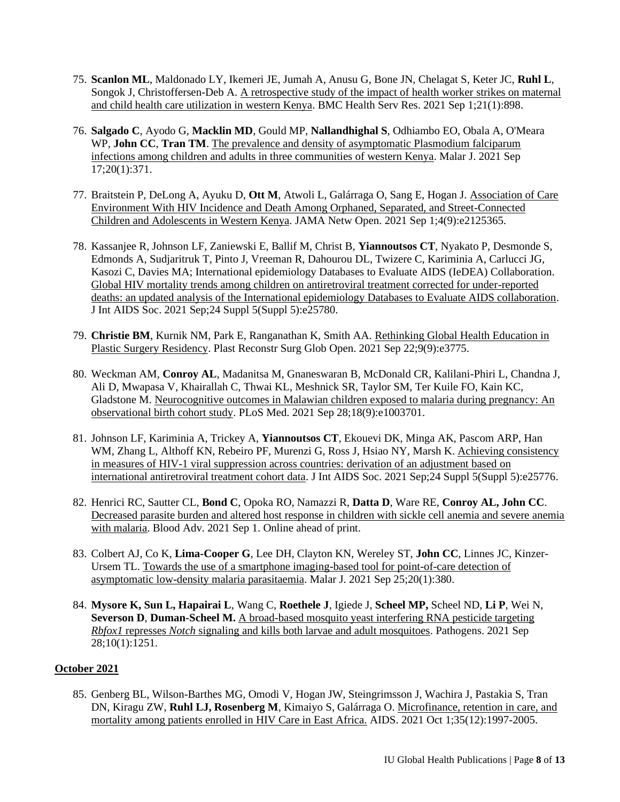- 75. **Scanlon ML**, Maldonado LY, Ikemeri JE, Jumah A, Anusu G, Bone JN, Chelagat S, Keter JC, **Ruhl L**, Songok J, Christoffersen-Deb A. [A retrospective study of the impact of health worker strikes on maternal](https://pubmed.ncbi.nlm.nih.gov/34465317/)  [and child health care utilization in western Kenya.](https://pubmed.ncbi.nlm.nih.gov/34465317/) BMC Health Serv Res. 2021 Sep 1;21(1):898.
- 76. **Salgado C**, Ayodo G, **Macklin MD**, Gould MP, **Nallandhighal S**, Odhiambo EO, Obala A, O'Meara WP, **John CC**, **Tran TM**. [The prevalence and density of asymptomatic Plasmodium falciparum](https://pubmed.ncbi.nlm.nih.gov/34535134/)  [infections among children and adults in three communities of western Kenya.](https://pubmed.ncbi.nlm.nih.gov/34535134/) Malar J. 2021 Sep 17;20(1):371.
- 77. Braitstein P, DeLong A, Ayuku D, **Ott M**, Atwoli L, Galárraga O, Sang E, Hogan J. [Association of Care](https://pubmed.ncbi.nlm.nih.gov/34529063/)  [Environment With HIV Incidence and Death Among Orphaned, Separated, and Street-Connected](https://pubmed.ncbi.nlm.nih.gov/34529063/)  [Children and Adolescents in Western](https://pubmed.ncbi.nlm.nih.gov/34529063/) Kenya. JAMA Netw Open. 2021 Sep 1;4(9):e2125365.
- 78. Kassanjee R, Johnson LF, Zaniewski E, Ballif M, Christ B, **Yiannoutsos CT**, Nyakato P, Desmonde S, Edmonds A, Sudjaritruk T, Pinto J, Vreeman R, Dahourou DL, Twizere C, Kariminia A, Carlucci JG, Kasozi C, Davies MA; International epidemiology Databases to Evaluate AIDS (IeDEA) Collaboration. [Global HIV mortality trends among children on antiretroviral treatment corrected for under-reported](https://pubmed.ncbi.nlm.nih.gov/34546646/)  [deaths: an updated analysis of the International epidemiology Databases to Evaluate AIDS collaboration.](https://pubmed.ncbi.nlm.nih.gov/34546646/) J Int AIDS Soc. 2021 Sep;24 Suppl 5(Suppl 5):e25780.
- 79. **Christie BM**, Kurnik NM, Park E, Ranganathan K, Smith AA. [Rethinking Global Health Education in](https://pubmed.ncbi.nlm.nih.gov/34584823/)  [Plastic Surgery Residency.](https://pubmed.ncbi.nlm.nih.gov/34584823/) Plast Reconstr Surg Glob Open. 2021 Sep 22;9(9):e3775.
- 80. Weckman AM, **Conroy AL**, Madanitsa M, Gnaneswaran B, McDonald CR, Kalilani-Phiri L, Chandna J, Ali D, Mwapasa V, Khairallah C, Thwai KL, Meshnick SR, Taylor SM, Ter Kuile FO, Kain KC, Gladstone M. [Neurocognitive outcomes in Malawian children exposed to malaria during pregnancy: An](https://pubmed.ncbi.nlm.nih.gov/34582452/)  [observational birth cohort study.](https://pubmed.ncbi.nlm.nih.gov/34582452/) PLoS Med. 2021 Sep 28;18(9):e1003701.
- 81. Johnson LF, Kariminia A, Trickey A, **Yiannoutsos CT**, Ekouevi DK, Minga AK, Pascom ARP, Han WM, Zhang L, Althoff KN, Rebeiro PF, Murenzi G, Ross J, Hsiao NY, Marsh K. [Achieving consistency](https://pubmed.ncbi.nlm.nih.gov/34546623/)  [in measures of HIV-1 viral suppression across countries: derivation of an adjustment based on](https://pubmed.ncbi.nlm.nih.gov/34546623/)  [international antiretroviral treatment cohort data.](https://pubmed.ncbi.nlm.nih.gov/34546623/) J Int AIDS Soc. 2021 Sep;24 Suppl 5(Suppl 5):e25776.
- 82. Henrici RC, Sautter CL, **Bond C**, Opoka RO, Namazzi R, **Datta D**, Ware RE, **Conroy AL, John CC**. [Decreased parasite burden and altered host response in children with sickle cell anemia and severe anemia](https://pubmed.ncbi.nlm.nih.gov/34470050/)  [with malaria.](https://pubmed.ncbi.nlm.nih.gov/34470050/) Blood Adv. 2021 Sep 1. Online ahead of print.
- 83. Colbert AJ, Co K, **Lima-Cooper G**, Lee DH, Clayton KN, Wereley ST, **John CC**, Linnes JC, Kinzer-Ursem TL. [Towards the use of a smartphone imaging-based tool for point-of-care detection of](https://pubmed.ncbi.nlm.nih.gov/34563189/)  [asymptomatic low-density malaria parasitaemia.](https://pubmed.ncbi.nlm.nih.gov/34563189/) Malar J. 2021 Sep 25;20(1):380.
- 84. **Mysore K, Sun L, Hapairai L**, Wang C, **Roethele J**, Igiede J, **Scheel MP,** Scheel ND, **Li P**, Wei N, **Severson D**, **Duman-Scheel M.** [A broad-based mosquito yeast interfering RNA pesticide targeting](https://pubmed.ncbi.nlm.nih.gov/34684200/)  *Rbfox1* represses *Notch* [signaling and kills both larvae and adult mosquitoes.](https://pubmed.ncbi.nlm.nih.gov/34684200/) Pathogens. 2021 Sep 28;10(1):1251.

# **October 2021**

85. Genberg BL, Wilson-Barthes MG, Omodi V, Hogan JW, Steingrimsson J, Wachira J, Pastakia S, Tran DN, Kiragu ZW, **Ruhl LJ, Rosenberg M**, Kimaiyo S, Galárraga O. [Microfinance, retention in care, and](https://pubmed.ncbi.nlm.nih.gov/34115646/)  [mortality among patients enrolled in HIV Care in East Africa.](https://pubmed.ncbi.nlm.nih.gov/34115646/) AIDS. 2021 Oct 1;35(12):1997-2005.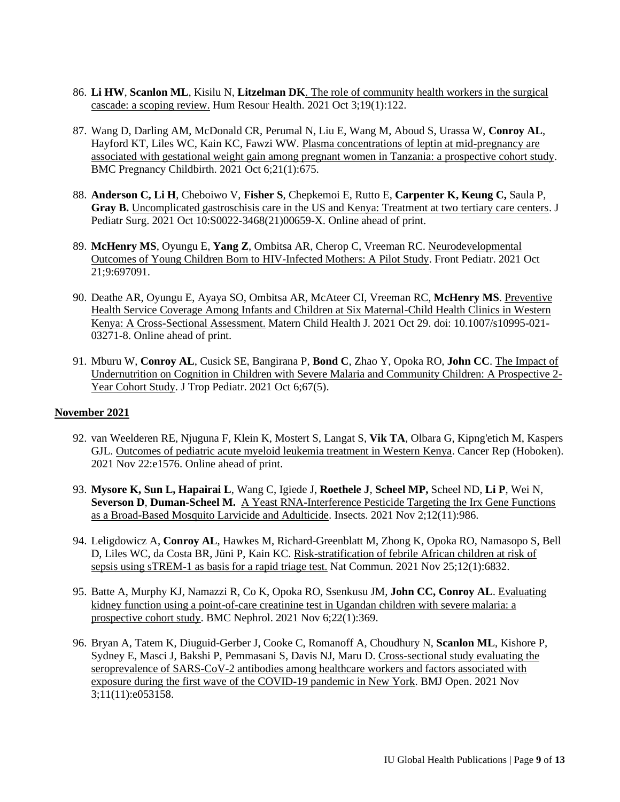- 86. **Li HW**, **Scanlon ML**, Kisilu N, **Litzelman DK**. [The role of community health workers in the surgical](https://pubmed.ncbi.nlm.nih.gov/34602064/)  [cascade: a scoping review.](https://pubmed.ncbi.nlm.nih.gov/34602064/) Hum Resour Health. 2021 Oct 3;19(1):122.
- 87. Wang D, Darling AM, McDonald CR, Perumal N, Liu E, Wang M, Aboud S, Urassa W, **Conroy AL**, Hayford KT, Liles WC, Kain KC, Fawzi WW. [Plasma concentrations of leptin at mid-pregnancy are](https://pubmed.ncbi.nlm.nih.gov/34615489/)  [associated with gestational weight gain among pregnant women in Tanzania: a prospective cohort study.](https://pubmed.ncbi.nlm.nih.gov/34615489/) BMC Pregnancy Childbirth. 2021 Oct 6;21(1):675.
- 88. **Anderson C, Li H**, Cheboiwo V, **Fisher S**, Chepkemoi E, Rutto E, **Carpenter K, Keung C,** Saula P, **Gray B.** [Uncomplicated gastroschisis care in the US and Kenya: Treatment at two tertiary care centers.](https://pubmed.ncbi.nlm.nih.gov/34749982/) J Pediatr Surg. 2021 Oct 10:S0022-3468(21)00659-X. Online ahead of print.
- 89. **McHenry MS**, Oyungu E, **Yang Z**, Ombitsa AR, Cherop C, Vreeman RC. [Neurodevelopmental](https://pubmed.ncbi.nlm.nih.gov/34746048/)  [Outcomes of Young Children Born to HIV-Infected Mothers: A Pilot Study.](https://pubmed.ncbi.nlm.nih.gov/34746048/) Front Pediatr. 2021 Oct 21;9:697091.
- 90. Deathe AR, Oyungu E, Ayaya SO, Ombitsa AR, McAteer CI, Vreeman RC, **McHenry MS**. [Preventive](https://pubmed.ncbi.nlm.nih.gov/34714463/)  [Health Service Coverage Among Infants and Children at Six Maternal-Child Health Clinics in Western](https://pubmed.ncbi.nlm.nih.gov/34714463/)  [Kenya: A Cross-Sectional Assessment.](https://pubmed.ncbi.nlm.nih.gov/34714463/) Matern Child Health J. 2021 Oct 29. doi: 10.1007/s10995-021- 03271-8. Online ahead of print.
- 91. Mburu W, **Conroy AL**, Cusick SE, Bangirana P, **Bond C**, Zhao Y, Opoka RO, **John CC**. [The Impact of](https://pubmed.ncbi.nlm.nih.gov/34755192/)  [Undernutrition on Cognition in Children with Severe Malaria and Community Children: A Prospective 2-](https://pubmed.ncbi.nlm.nih.gov/34755192/) [Year Cohort Study.](https://pubmed.ncbi.nlm.nih.gov/34755192/) J Trop Pediatr. 2021 Oct 6;67(5).

# **November 2021**

- 92. van Weelderen RE, Njuguna F, Klein K, Mostert S, Langat S, **Vik TA**, Olbara G, Kipng'etich M, Kaspers GJL. [Outcomes of pediatric acute myeloid leukemia treatment in Western Kenya.](https://pubmed.ncbi.nlm.nih.gov/34811958/) Cancer Rep (Hoboken). 2021 Nov 22:e1576. Online ahead of print.
- 93. **Mysore K, Sun L, Hapairai L**, Wang C, Igiede J, **Roethele J**, **Scheel MP,** Scheel ND, **Li P**, Wei N, **Severson D**, **Duman-Scheel M.** [A Yeast RNA-Interference Pesticide Targeting the Irx Gene Functions](https://pubmed.ncbi.nlm.nih.gov/34821787/)  [as a Broad-Based Mosquito Larvicide and Adulticide.](https://pubmed.ncbi.nlm.nih.gov/34821787/) Insects. 2021 Nov 2;12(11):986.
- 94. Leligdowicz A, **Conroy AL**, Hawkes M, Richard-Greenblatt M, Zhong K, Opoka RO, Namasopo S, Bell D, Liles WC, da Costa BR, Jüni P, Kain KC. [Risk-stratification of febrile African children at risk of](https://pubmed.ncbi.nlm.nih.gov/34824252/)  [sepsis using sTREM-1 as basis for a rapid triage test.](https://pubmed.ncbi.nlm.nih.gov/34824252/) Nat Commun. 2021 Nov 25;12(1):6832.
- 95. Batte A, Murphy KJ, Namazzi R, Co K, Opoka RO, Ssenkusu JM, **John CC, Conroy AL**. [Evaluating](https://pubmed.ncbi.nlm.nih.gov/34742257/)  [kidney function using a point-of-care creatinine test in Ugandan children with severe malaria: a](https://pubmed.ncbi.nlm.nih.gov/34742257/)  [prospective cohort study.](https://pubmed.ncbi.nlm.nih.gov/34742257/) BMC Nephrol. 2021 Nov 6;22(1):369.
- 96. Bryan A, Tatem K, Diuguid-Gerber J, Cooke C, Romanoff A, Choudhury N, **Scanlon ML**, Kishore P, Sydney E, Masci J, Bakshi P, Pemmasani S, Davis NJ, Maru D. [Cross-sectional study evaluating the](https://pubmed.ncbi.nlm.nih.gov/34732494/)  [seroprevalence of SARS-CoV-2 antibodies among healthcare workers and factors associated with](https://pubmed.ncbi.nlm.nih.gov/34732494/)  [exposure during the first wave of the COVID-19 pandemic in New York.](https://pubmed.ncbi.nlm.nih.gov/34732494/) BMJ Open. 2021 Nov 3;11(11):e053158.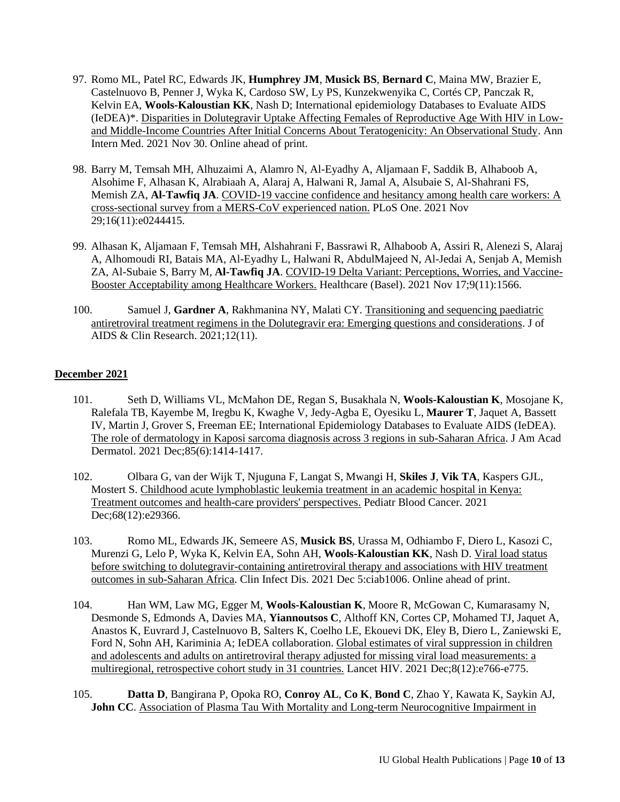- 97. Romo ML, Patel RC, Edwards JK, **Humphrey JM**, **Musick BS**, **Bernard C**, Maina MW, Brazier E, Castelnuovo B, Penner J, Wyka K, Cardoso SW, Ly PS, Kunzekwenyika C, Cortés CP, Panczak R, Kelvin EA, **Wools-Kaloustian KK**, Nash D; International epidemiology Databases to Evaluate AIDS (IeDEA)\*. [Disparities in Dolutegravir Uptake Affecting Females of Reproductive Age With HIV in Low](https://pubmed.ncbi.nlm.nih.gov/34843382/)[and Middle-Income Countries After Initial Concerns About Teratogenicity: An Observational Study.](https://pubmed.ncbi.nlm.nih.gov/34843382/) Ann Intern Med. 2021 Nov 30. Online ahead of print.
- 98. Barry M, Temsah MH, Alhuzaimi A, Alamro N, Al-Eyadhy A, Aljamaan F, Saddik B, Alhaboob A, Alsohime F, Alhasan K, Alrabiaah A, Alaraj A, Halwani R, Jamal A, Alsubaie S, Al-Shahrani FS, Memish ZA, **Al-Tawfiq JA**. [COVID-19 vaccine confidence and hesitancy among health care workers: A](https://pubmed.ncbi.nlm.nih.gov/34843462/)  [cross-sectional survey from a MERS-CoV experienced nation.](https://pubmed.ncbi.nlm.nih.gov/34843462/) PLoS One. 2021 Nov 29;16(11):e0244415.
- 99. Alhasan K, Aljamaan F, Temsah MH, Alshahrani F, Bassrawi R, Alhaboob A, Assiri R, Alenezi S, Alaraj A, Alhomoudi RI, Batais MA, Al-Eyadhy L, Halwani R, AbdulMajeed N, Al-Jedai A, Senjab A, Memish ZA, Al-Subaie S, Barry M, **Al-Tawfiq JA**. [COVID-19 Delta Variant: Perceptions, Worries, and Vaccine-](https://pubmed.ncbi.nlm.nih.gov/34828612/)[Booster Acceptability among Healthcare Workers.](https://pubmed.ncbi.nlm.nih.gov/34828612/) Healthcare (Basel). 2021 Nov 17;9(11):1566.
- 100. Samuel J, **Gardner A**, Rakhmanina NY, Malati CY. [Transitioning and sequencing paediatric](https://www.hilarispublisher.com/open-access/transitioning-and-sequencing-paediatric-antiretroviral-treatmentregimens-in-the-dolutegravir-era-emerging-questionsand-considerati-79650.html)  [antiretroviral treatment regimens in the Dolutegravir era: Emerging questions and considerations.](https://www.hilarispublisher.com/open-access/transitioning-and-sequencing-paediatric-antiretroviral-treatmentregimens-in-the-dolutegravir-era-emerging-questionsand-considerati-79650.html) J of AIDS & Clin Research. 2021;12(11).

## **December 2021**

- 101. Seth D, Williams VL, McMahon DE, Regan S, Busakhala N, **Wools-Kaloustian K**, Mosojane K, Ralefala TB, Kayembe M, Iregbu K, Kwaghe V, Jedy-Agba E, Oyesiku L, **Maurer T**, Jaquet A, Bassett IV, Martin J, Grover S, Freeman EE; International Epidemiology Databases to Evaluate AIDS (IeDEA). [The role of dermatology in Kaposi sarcoma diagnosis across 3 regions in sub-Saharan Africa.](https://pubmed.ncbi.nlm.nih.gov/32763329/) J Am Acad Dermatol. 2021 Dec;85(6):1414-1417.
- 102. [Olbara G, van der Wijk T, Njuguna F, Langat S, Mwangi H,](https://pubmed.ncbi.nlm.nih.gov/34569156/) **Skiles J**, **Vik TA**, Kaspers GJL, [Mostert S. Childhood acute lymphoblastic leukemia treatment in an academic hospital in Kenya:](https://pubmed.ncbi.nlm.nih.gov/34569156/)  [Treatment outcomes and health-care providers' perspectives.](https://pubmed.ncbi.nlm.nih.gov/34569156/) Pediatr Blood Cancer. 2021 Dec;68(12):e29366.
- 103. Romo ML, Edwards JK, Semeere AS, **Musick BS**, Urassa M, Odhiambo F, Diero L, Kasozi C, Murenzi G, Lelo P, Wyka K, Kelvin EA, Sohn AH, **Wools-Kaloustian KK**, Nash D. [Viral load status](https://pubmed.ncbi.nlm.nih.gov/34893813/)  [before switching to dolutegravir-containing antiretroviral therapy and associations with HIV treatment](https://pubmed.ncbi.nlm.nih.gov/34893813/)  [outcomes in sub-Saharan Africa.](https://pubmed.ncbi.nlm.nih.gov/34893813/) Clin Infect Dis. 2021 Dec 5:ciab1006. Online ahead of print.
- 104. Han WM, Law MG, Egger M, **Wools-Kaloustian K**, Moore R, McGowan C, Kumarasamy N, Desmonde S, Edmonds A, Davies MA, **Yiannoutsos C**, Althoff KN, Cortes CP, Mohamed TJ, Jaquet A, Anastos K, Euvrard J, Castelnuovo B, Salters K, Coelho LE, Ekouevi DK, Eley B, Diero L, Zaniewski E, Ford N, Sohn AH, Kariminia A; IeDEA collaboration. [Global estimates of viral suppression in children](https://pubmed.ncbi.nlm.nih.gov/34856180/)  and adolescents and adults on [antiretroviral therapy adjusted for missing viral load measurements: a](https://pubmed.ncbi.nlm.nih.gov/34856180/)  [multiregional, retrospective cohort study in 31 countries.](https://pubmed.ncbi.nlm.nih.gov/34856180/) Lancet HIV. 2021 Dec;8(12):e766-e775.
- 105. **Datta D**, Bangirana P, Opoka RO, **Conroy AL**, **Co K**, **Bond C**, Zhao Y, Kawata K, Saykin AJ, John CC. Association of Plasma Tau With Mortality and Long-term Neurocognitive Impairment in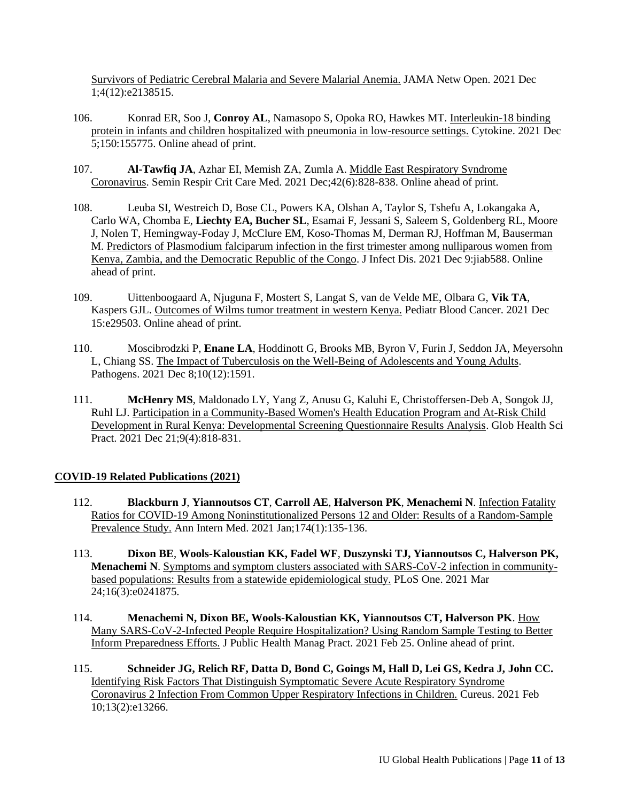[Survivors of Pediatric Cerebral Malaria and Severe Malarial Anemia.](https://pubmed.ncbi.nlm.nih.gov/34889945/) JAMA Netw Open. 2021 Dec 1;4(12):e2138515.

- 106. Konrad ER, Soo J, **Conroy AL**, Namasopo S, Opoka RO, Hawkes MT. [Interleukin-18 binding](https://pubmed.ncbi.nlm.nih.gov/34875584/)  [protein in infants and children hospitalized with pneumonia in low-resource settings.](https://pubmed.ncbi.nlm.nih.gov/34875584/) Cytokine. 2021 Dec 5;150:155775. Online ahead of print.
- 107. **Al-Tawfiq JA**, Azhar EI, Memish ZA, Zumla A. [Middle East Respiratory Syndrome](https://pubmed.ncbi.nlm.nih.gov/34918324/)  [Coronavirus.](https://pubmed.ncbi.nlm.nih.gov/34918324/) Semin Respir Crit Care Med. 2021 Dec;42(6):828-838. Online ahead of print.
- 108. Leuba SI, Westreich D, Bose CL, Powers KA, Olshan A, Taylor S, Tshefu A, Lokangaka A, Carlo WA, Chomba E, **Liechty EA, Bucher SL**, Esamai F, Jessani S, Saleem S, Goldenberg RL, Moore J, Nolen T, Hemingway-Foday J, McClure EM, Koso-Thomas M, Derman RJ, Hoffman M, Bauserman M. [Predictors of Plasmodium falciparum infection in the first trimester among nulliparous women from](https://pubmed.ncbi.nlm.nih.gov/34888658/)  [Kenya, Zambia, and the Democratic Republic of the Congo.](https://pubmed.ncbi.nlm.nih.gov/34888658/) J Infect Dis. 2021 Dec 9:jiab588. Online ahead of print.
- 109. Uittenboogaard A, Njuguna F, Mostert S, Langat S, van de Velde ME, Olbara G, **Vik TA**, Kaspers GJL[. Outcomes of Wilms tumor treatment in western Kenya.](https://pubmed.ncbi.nlm.nih.gov/34908225/) Pediatr Blood Cancer. 2021 Dec 15:e29503. Online ahead of print.
- 110. Moscibrodzki P, **Enane LA**, Hoddinott G, Brooks MB, Byron V, Furin J, Seddon JA, Meyersohn L, Chiang SS. [The Impact of Tuberculosis on the Well-Being of Adolescents and Young Adults.](https://pubmed.ncbi.nlm.nih.gov/34959546/) Pathogens. 2021 Dec 8;10(12):1591.
- 111. **McHenry MS**, Maldonado LY, Yang Z, Anusu G, Kaluhi E, Christoffersen-Deb A, Songok JJ, Ruhl LJ[. Participation in a Community-Based Women's Health Education Program and At-Risk Child](https://pubmed.ncbi.nlm.nih.gov/34933978/)  [Development in Rural Kenya: Developmental Screening Questionnaire Results Analysis.](https://pubmed.ncbi.nlm.nih.gov/34933978/) Glob Health Sci Pract. 2021 Dec 21;9(4):818-831.

# **COVID-19 Related Publications (2021)**

- 112. **Blackburn J**, **Yiannoutsos CT**, **Carroll AE**, **Halverson PK**, **Menachemi N**. [Infection Fatality](https://pubmed.ncbi.nlm.nih.gov/32877214/)  [Ratios for COVID-19 Among Noninstitutionalized Persons 12 and Older: Results of a Random-Sample](https://pubmed.ncbi.nlm.nih.gov/32877214/)  [Prevalence Study.](https://pubmed.ncbi.nlm.nih.gov/32877214/) Ann Intern Med. 2021 Jan;174(1):135-136.
- 113. **Dixon BE**, **Wools-Kaloustian KK, Fadel WF**, **Duszynski TJ, Yiannoutsos C, Halverson PK, Menachemi N**. [Symptoms and symptom clusters associated with SARS-CoV-2 infection in community](https://pubmed.ncbi.nlm.nih.gov/33760821/)[based populations: Results from a statewide epidemiological study.](https://pubmed.ncbi.nlm.nih.gov/33760821/) PLoS One. 2021 Mar 24;16(3):e0241875.
- 114. **Menachemi N, Dixon BE, Wools-Kaloustian KK, Yiannoutsos CT, Halverson PK**. [How](https://pubmed.ncbi.nlm.nih.gov/33729203/)  [Many SARS-CoV-2-Infected People Require Hospitalization? Using Random Sample Testing to Better](https://pubmed.ncbi.nlm.nih.gov/33729203/)  [Inform Preparedness Efforts.](https://pubmed.ncbi.nlm.nih.gov/33729203/) J Public Health Manag Pract. 2021 Feb 25. Online ahead of print.
- 115. **Schneider JG, Relich RF, Datta D, Bond C, Goings M, Hall D, Lei GS, Kedra J, John CC.**  [Identifying Risk Factors That Distinguish Symptomatic Severe Acute Respiratory Syndrome](https://pubmed.ncbi.nlm.nih.gov/33728202/)  Coronavirus 2 [Infection From Common Upper Respiratory Infections in Children.](https://pubmed.ncbi.nlm.nih.gov/33728202/) Cureus. 2021 Feb 10;13(2):e13266.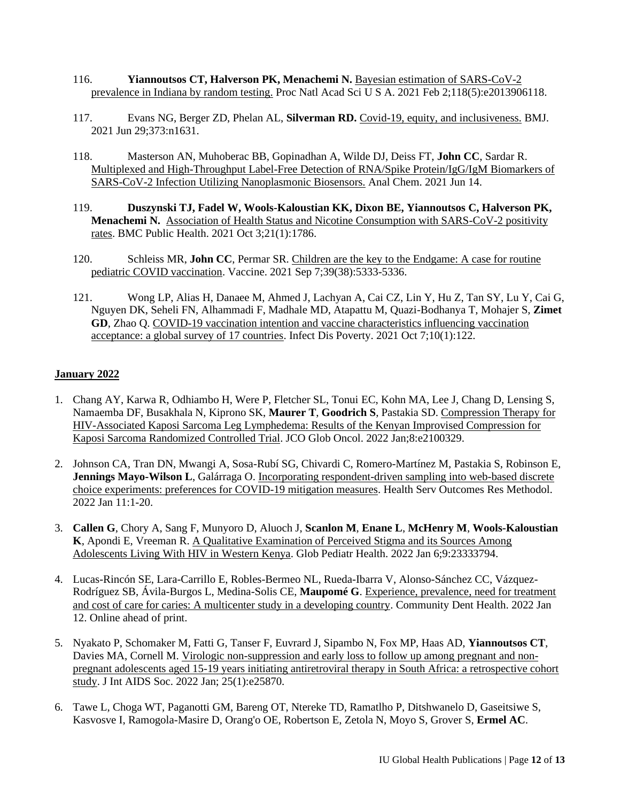- 116. **Yiannoutsos CT, Halverson PK, Menachemi N.** [Bayesian estimation of SARS-CoV-2](https://pubmed.ncbi.nlm.nih.gov/33441450/)  [prevalence in Indiana by random testing.](https://pubmed.ncbi.nlm.nih.gov/33441450/) Proc Natl Acad Sci U S A. 2021 Feb 2;118(5):e2013906118.
- 117. Evans NG, Berger ZD, Phelan AL, **Silverman RD.** [Covid-19, equity, and inclusiveness.](https://pubmed.ncbi.nlm.nih.gov/34187843/) BMJ. 2021 Jun 29;373:n1631.
- 118. [Masterson AN, Muhoberac BB, Gopinadhan A, Wilde DJ, Deiss FT,](https://pubmed.ncbi.nlm.nih.gov/34125535/) **John CC**, Sardar R. [Multiplexed and High-Throughput Label-Free Detection of RNA/Spike Protein/IgG/IgM Biomarkers of](https://pubmed.ncbi.nlm.nih.gov/34125535/)  [SARS-CoV-2 Infection Utilizing Nanoplasmonic Biosensors.](https://pubmed.ncbi.nlm.nih.gov/34125535/) Anal Chem. 2021 Jun 14.
- 119. **Duszynski TJ, Fadel W, Wools-Kaloustian KK, Dixon BE, Yiannoutsos C, Halverson PK, Menachemi N.** [Association of Health Status and Nicotine Consumption with SARS-CoV-2 positivity](https://pubmed.ncbi.nlm.nih.gov/34600513/)  [rates.](https://pubmed.ncbi.nlm.nih.gov/34600513/) BMC Public Health. 2021 Oct 3;21(1):1786.
- 120. Schleiss MR, **John CC**, Permar SR. [Children are the key to the Endgame: A case for routine](https://pubmed.ncbi.nlm.nih.gov/34393021/)  [pediatric COVID vaccination.](https://pubmed.ncbi.nlm.nih.gov/34393021/) Vaccine. 2021 Sep 7;39(38):5333-5336.
- 121. Wong LP, Alias H, Danaee M, Ahmed J, Lachyan A, Cai CZ, Lin Y, Hu Z, Tan SY, Lu Y, Cai G, Nguyen DK, Seheli FN, Alhammadi F, Madhale MD, Atapattu M, Quazi-Bodhanya T, Mohajer S, **Zimet GD**, Zhao Q. [COVID-19 vaccination intention and vaccine characteristics influencing vaccination](https://pubmed.ncbi.nlm.nih.gov/34620243/)  [acceptance: a global survey of 17 countries.](https://pubmed.ncbi.nlm.nih.gov/34620243/) Infect Dis Poverty. 2021 Oct 7;10(1):122.

## **January 2022**

- 1. Chang AY, Karwa R, Odhiambo H, Were P, Fletcher SL, Tonui EC, Kohn MA, Lee J, Chang D, Lensing S, Namaemba DF, Busakhala N, Kiprono SK, **Maurer T**, **Goodrich S**, Pastakia SD. [Compression Therapy for](https://pubmed.ncbi.nlm.nih.gov/35025687/)  [HIV-Associated Kaposi Sarcoma Leg Lymphedema: Results of the Kenyan Improvised Compression for](https://pubmed.ncbi.nlm.nih.gov/35025687/)  [Kaposi Sarcoma Randomized Controlled Trial.](https://pubmed.ncbi.nlm.nih.gov/35025687/) JCO Glob Oncol. 2022 Jan;8:e2100329.
- 2. Johnson CA, Tran DN, Mwangi A, Sosa-Rubí SG, Chivardi C, Romero-Martínez M, Pastakia S, Robinson E, **Jennings Mayo-Wilson L**, Galárraga O. [Incorporating respondent-driven sampling into web-based discrete](https://pubmed.ncbi.nlm.nih.gov/35035272/)  [choice experiments: preferences for COVID-19 mitigation measures.](https://pubmed.ncbi.nlm.nih.gov/35035272/) Health Serv Outcomes Res Methodol. 2022 Jan 11:1-20.
- 3. **Callen G**, Chory A, Sang F, Munyoro D, Aluoch J, **Scanlon M**, **Enane L**, **McHenry M**, **Wools-Kaloustian K**, Apondi E, Vreeman R. [A Qualitative Examination of Perceived Stigma and its Sources Among](https://pubmed.ncbi.nlm.nih.gov/35024383/)  Adolescents Living [With HIV in Western Kenya.](https://pubmed.ncbi.nlm.nih.gov/35024383/) Glob Pediatr Health. 2022 Jan 6;9:23333794.
- 4. Lucas-Rincón SE, Lara-Carrillo E, Robles-Bermeo NL, Rueda-Ibarra V, Alonso-Sánchez CC, Vázquez-Rodríguez SB, Ávila-Burgos L, Medina-Solis CE, **Maupomé G**. [Experience, prevalence, need for treatment](https://pubmed.ncbi.nlm.nih.gov/35020280/)  [and cost of care for caries: A multicenter study in a developing country.](https://pubmed.ncbi.nlm.nih.gov/35020280/) Community Dent Health. 2022 Jan 12. Online ahead of print.
- 5. Nyakato P, Schomaker M, Fatti G, Tanser F, Euvrard J, Sipambo N, Fox MP, Haas AD, **Yiannoutsos CT**, Davies MA, Cornell M. [Virologic non-suppression and early loss to follow up among pregnant and non](https://pubmed.ncbi.nlm.nih.gov/35032096/)[pregnant adolescents aged 15-19 years initiating antiretroviral therapy in South Africa: a retrospective cohort](https://pubmed.ncbi.nlm.nih.gov/35032096/)  [study.](https://pubmed.ncbi.nlm.nih.gov/35032096/) J Int AIDS Soc. 2022 Jan; 25(1):e25870.
- 6. Tawe L, Choga WT, Paganotti GM, Bareng OT, Ntereke TD, Ramatlho P, Ditshwanelo D, Gaseitsiwe S, Kasvosve I, Ramogola-Masire D, Orang'o OE, Robertson E, Zetola N, Moyo S, Grover S, **Ermel AC**.